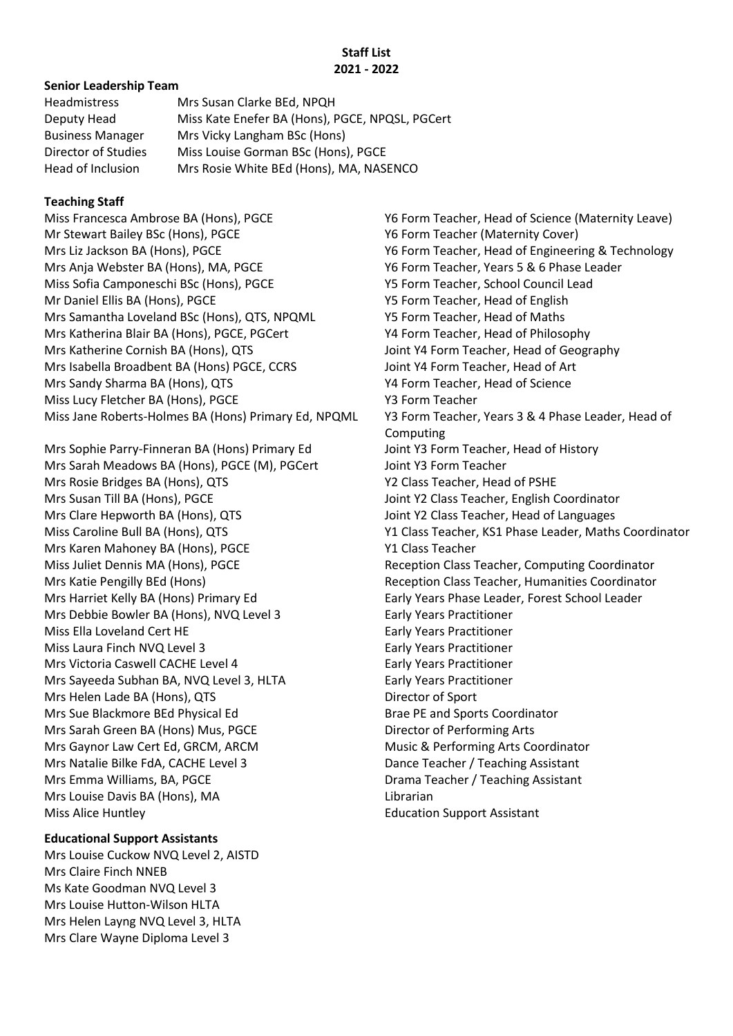#### **Staff List 2021 - 2022**

#### **Senior Leadership Team**

| <b>Headmistress</b>     | Mrs Susan Clarke BEd, NPQH                      |
|-------------------------|-------------------------------------------------|
| Deputy Head             | Miss Kate Enefer BA (Hons), PGCE, NPQSL, PGCert |
| <b>Business Manager</b> | Mrs Vicky Langham BSc (Hons)                    |
| Director of Studies     | Miss Louise Gorman BSc (Hons), PGCE             |
| Head of Inclusion       | Mrs Rosie White BEd (Hons), MA, NASENCO         |

## **Teaching Staff**

Miss Francesca Ambrose BA (Hons), PGCE Y6 Form Teacher, Head of Science (Maternity Leave) Mr Stewart Bailey BSc (Hons), PGCE Y6 Form Teacher (Maternity Cover) Mrs Liz Jackson BA (Hons), PGCE Y6 Form Teacher, Head of Engineering & Technology Mrs Anja Webster BA (Hons), MA, PGCE Y6 Form Teacher, Years 5 & 6 Phase Leader Miss Sofia Camponeschi BSc (Hons), PGCE Y5 Form Teacher, School Council Lead Mr Daniel Ellis BA (Hons), PGCE Y5 Form Teacher, Head of English Mrs Samantha Loveland BSc (Hons), QTS, NPQML Y5 Form Teacher, Head of Maths Mrs Katherina Blair BA (Hons), PGCE, PGCert Y4 Form Teacher, Head of Philosophy Mrs Katherine Cornish BA (Hons), QTS Joint Y4 Form Teacher, Head of Geography Mrs Isabella Broadbent BA (Hons) PGCE, CCRS Joint Y4 Form Teacher, Head of Art Mrs Sandy Sharma BA (Hons), QTS Y4 Form Teacher, Head of Science Miss Lucy Fletcher BA (Hons), PGCE Y3 Form Teacher Miss Jane Roberts-Holmes BA (Hons) Primary Ed, NPQML Y3 Form Teacher, Years 3 & 4 Phase Leader, Head of

Mrs Sophie Parry-Finneran BA (Hons) Primary Ed Joint Y3 Form Teacher, Head of History Mrs Sarah Meadows BA (Hons), PGCE (M), PGCert Joint Y3 Form Teacher Mrs Rosie Bridges BA (Hons), QTS Y2 Class Teacher, Head of PSHE Mrs Susan Till BA (Hons), PGCE Joint Y2 Class Teacher, English Coordinator Mrs Clare Hepworth BA (Hons), QTS Joint Y2 Class Teacher, Head of Languages Mrs Karen Mahoney BA (Hons), PGCE Y1 Class Teacher Mrs Harriet Kelly BA (Hons) Primary Ed Early Years Phase Leader, Forest School Leader Mrs Debbie Bowler BA (Hons), NVQ Level 3 Early Years Practitioner Miss Ella Loveland Cert HE Early Years Practitioner Miss Laura Finch NVQ Level 3 Early Years Practitioner Mrs Victoria Caswell CACHE Level 4 Factoria Caswell CACHE Level 4 Early Years Practitioner Mrs Sayeeda Subhan BA, NVQ Level 3, HLTA Early Years Practitioner Mrs Helen Lade BA (Hons), QTS Director of Sport Mrs Sue Blackmore BEd Physical Ed Brae Brae PE and Sports Coordinator Mrs Sarah Green BA (Hons) Mus, PGCE Director of Performing Arts Mrs Gaynor Law Cert Ed, GRCM, ARCM Music & Performing Arts Coordinator Mrs Natalie Bilke FdA, CACHE Level 3 Dance Teacher / Teaching Assistant Mrs Emma Williams, BA, PGCE **Drama Teacher / Teaching Assistant** Mrs Louise Davis BA (Hons), MA Librarian Miss Alice Huntley **Education Support Assistant** 

## **Educational Support Assistants**

Mrs Louise Cuckow NVQ Level 2, AISTD Mrs Claire Finch NNEB Ms Kate Goodman NVQ Level 3 Mrs Louise Hutton-Wilson HLTA Mrs Helen Layng NVQ Level 3, HLTA Mrs Clare Wayne Diploma Level 3

Computing Miss Caroline Bull BA (Hons), QTS Y1 Class Teacher, KS1 Phase Leader, Maths Coordinator Miss Juliet Dennis MA (Hons), PGCE Reception Class Teacher, Computing Coordinator Mrs Katie Pengilly BEd (Hons) Reception Class Teacher, Humanities Coordinator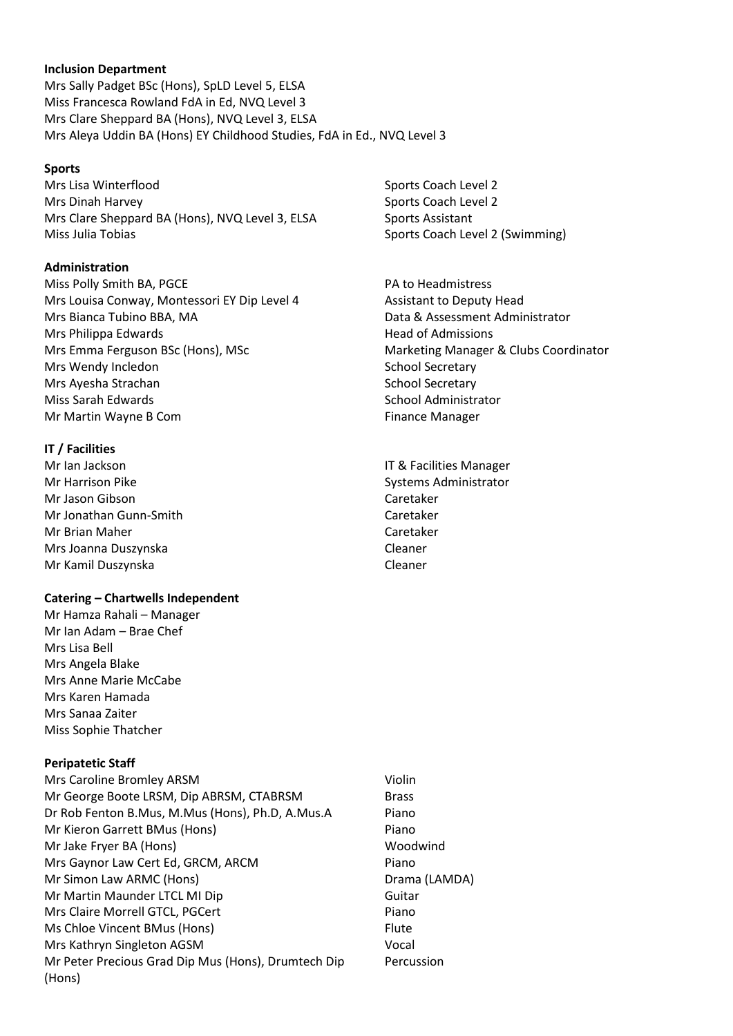#### **Inclusion Department**

Mrs Sally Padget BSc (Hons), SpLD Level 5, ELSA Miss Francesca Rowland FdA in Ed, NVQ Level 3 Mrs Clare Sheppard BA (Hons), NVQ Level 3, ELSA Mrs Aleya Uddin BA (Hons) EY Childhood Studies, FdA in Ed., NVQ Level 3

### **Sports**

Mrs Lisa Winterflood **Sports Coach Level 2** Sports Coach Level 2 Mrs Dinah Harvey November 2012 19:30 Sports Coach Level 2 Mrs Clare Sheppard BA (Hons), NVQ Level 3, ELSA Sports Assistant Miss Julia Tobias **Sports Coach Level 2 (Swimming)** Sports Coach Level 2 (Swimming)

## **Administration**

Miss Polly Smith BA, PGCE PA to Headmistress Mrs Louisa Conway, Montessori EY Dip Level 4 Assistant to Deputy Head Mrs Bianca Tubino BBA, MA **Data & Assessment Administrator** Data & Assessment Administrator Mrs Philippa Edwards **Head of Admissions** Head of Admissions Mrs Emma Ferguson BSc (Hons), MSc Marketing Manager & Clubs Coordinator Mrs Wendy Incledon **School Secretary** School Secretary Mrs Ayesha Strachan School Secretary School Secretary Miss Sarah Edwards National Administrator School Administrator Mr Martin Wayne B Com Finance Manager

### **IT / Facilities**

Mr Ian Jackson **In American International IT & Facilities Manager** Mr Harrison Pike **Systems Administrator** Systems Administrator Mr Jason Gibson Caretaker Mr Jonathan Gunn-Smith Caretaker Mr Brian Maher Caretaker Mrs Joanna Duszynska Cleaner Mr Kamil Duszynska Cleaner

#### **Catering – Chartwells Independent**

Mr Hamza Rahali – Manager Mr Ian Adam – Brae Chef Mrs Lisa Bell Mrs Angela Blake Mrs Anne Marie McCabe Mrs Karen Hamada Mrs Sanaa Zaiter Miss Sophie Thatcher

## **Peripatetic Staff**

Mrs Caroline Bromley ARSM Violin Mr George Boote LRSM, Dip ABRSM, CTABRSM Brass Dr Rob Fenton B.Mus, M.Mus (Hons), Ph.D, A.Mus.A Piano Mr Kieron Garrett BMus (Hons) Piano Mr Jake Fryer BA (Hons) Woodwind Mrs Gaynor Law Cert Ed, GRCM, ARCM Piano Mr Simon Law ARMC (Hons) Drama (LAMDA) Mr Martin Maunder LTCL MI Dip Guitar Mrs Claire Morrell GTCL, PGCert **Piano** Ms Chloe Vincent BMus (Hons) Flute Mrs Kathryn Singleton AGSM Vocal Mr Peter Precious Grad Dip Mus (Hons), Drumtech Dip (Hons)

Percussion